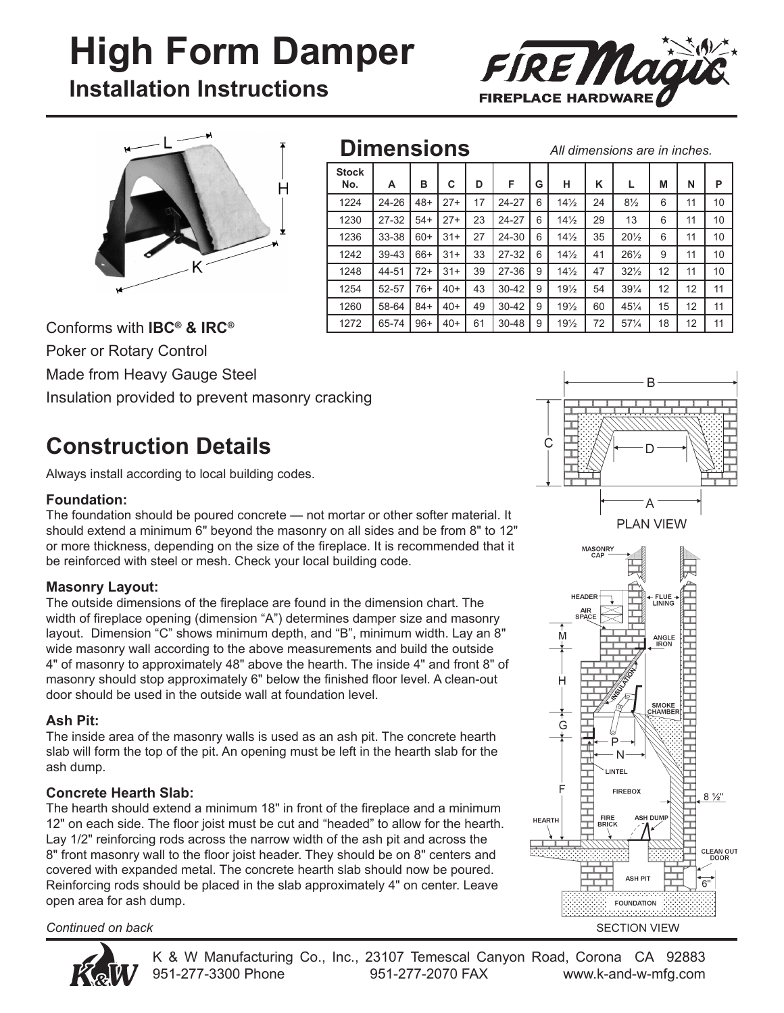# **High Form Damper**

**Installation Instructions**





### **Dimensions**

*All dimensions are in inches.*

| <b>Stock</b><br>No. | A     | в     | С     | D  | F         | G | н               | κ  | L               | M  | N  | P  |
|---------------------|-------|-------|-------|----|-----------|---|-----------------|----|-----------------|----|----|----|
| 1224                | 24-26 | $48+$ | $27+$ | 17 | 24-27     | 6 | $14\frac{1}{2}$ | 24 | $8\frac{1}{2}$  | 6  | 11 | 10 |
| 1230                | 27-32 | $54+$ | $27+$ | 23 | 24-27     | 6 | $14\frac{1}{2}$ | 29 | 13              | 6  | 11 | 10 |
| 1236                | 33-38 | $60+$ | $31+$ | 27 | 24-30     | 6 | $14\frac{1}{2}$ | 35 | $20\frac{1}{2}$ | 6  | 11 | 10 |
| 1242                | 39-43 | 66+   | $31+$ | 33 | 27-32     | 6 | $14\frac{1}{2}$ | 41 | $26\frac{1}{2}$ | 9  | 11 | 10 |
| 1248                | 44-51 | $72+$ | $31+$ | 39 | 27-36     | 9 | $14\frac{1}{2}$ | 47 | $32\frac{1}{2}$ | 12 | 11 | 10 |
| 1254                | 52-57 | 76+   | $40+$ | 43 | $30 - 42$ | 9 | $19\frac{1}{2}$ | 54 | $39\frac{1}{4}$ | 12 | 12 | 11 |
| 1260                | 58-64 | $84+$ | $40+$ | 49 | $30 - 42$ | 9 | $19\frac{1}{2}$ | 60 | $45\frac{1}{4}$ | 15 | 12 | 11 |
| 1272                | 65-74 | $96+$ | $40+$ | 61 | $30 - 48$ | 9 | $19\frac{1}{2}$ | 72 | $57\frac{1}{4}$ | 18 | 12 | 11 |

Conforms with **IBC® & IRC®** 

Poker or Rotary Control

Made from Heavy Gauge Steel

Insulation provided to prevent masonry cracking

## **Construction Details**

Always install according to local building codes.

#### **Foundation:**

The foundation should be poured concrete — not mortar or other softer material. It should extend a minimum 6" beyond the masonry on all sides and be from 8" to 12" or more thickness, depending on the size of the fireplace. It is recommended that it be reinforced with steel or mesh. Check your local building code.

#### **Masonry Layout:**

The outside dimensions of the fireplace are found in the dimension chart. The width of fireplace opening (dimension "A") determines damper size and masonry layout. Dimension "C" shows minimum depth, and "B", minimum width. Lay an 8" wide masonry wall according to the above measurements and build the outside 4" of masonry to approximately 48" above the hearth. The inside 4" and front 8" of masonry should stop approximately 6" below the finished floor level. A clean-out door should be used in the outside wall at foundation level.

#### **Ash Pit:**

The inside area of the masonry walls is used as an ash pit. The concrete hearth slab will form the top of the pit. An opening must be left in the hearth slab for the ash dump.

#### **Concrete Hearth Slab:**

The hearth should extend a minimum 18" in front of the fireplace and a minimum 12" on each side. The floor joist must be cut and "headed" to allow for the hearth. Lay 1/2" reinforcing rods across the narrow width of the ash pit and across the 8" front masonry wall to the floor joist header. They should be on 8" centers and covered with expanded metal. The concrete hearth slab should now be poured. Reinforcing rods should be placed in the slab approximately 4" on center. Leave open area for ash dump.

*Continued on back*



K & W Manufacturing Co., Inc., 23107 Temescal Canyon Road, Corona CA 92883 951-277-3300 Phone 951-277-2070 FAX www.k-and-w-mfg.com